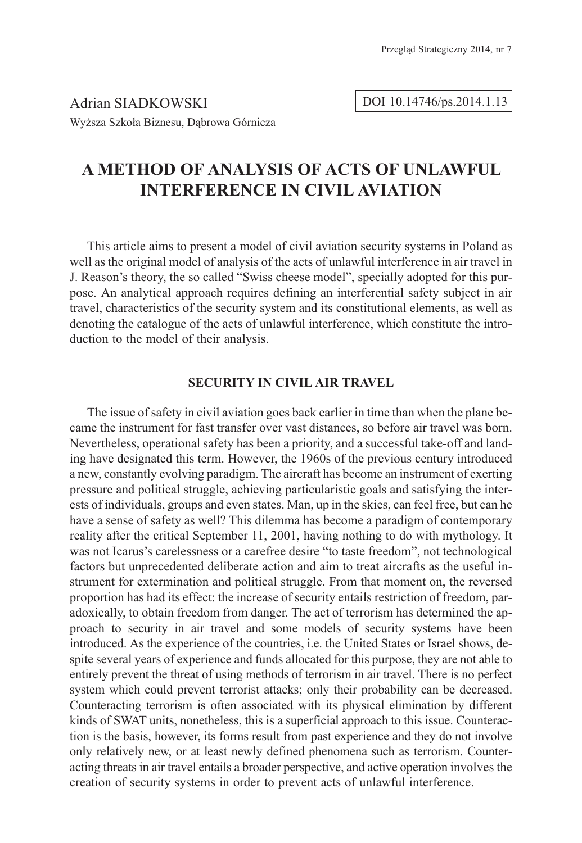Adrian SIADKOWSKI Wyższa Szkoła Biznesu, Dąbrowa Górnicza DOI 10.14746/ps.2014.1.13

# **A METHOD OF ANALYSIS OF ACTS OF UNLAWFUL INTERFERENCE IN CIVIL AVIATION**

This article aims to present a model of civil aviation security systems in Poland as well as the original model of analysis of the acts of unlawful interference in air travel in J. Reason's theory, the so called "Swiss cheese model", specially adopted for this purpose. An analytical approach requires defining an interferential safety subject in air travel, characteristics of the security system and its constitutional elements, as well as denoting the catalogue of the acts of unlawful interference, which constitute the introduction to the model of their analysis.

# **SECURITY IN CIVIL AIR TRAVEL**

The issue of safety in civil aviation goes back earlier in time than when the plane became the instrument for fast transfer over vast distances, so before air travel was born. Nevertheless, operational safety has been a priority, and a successful take-off and landing have designated this term. However, the 1960s of the previous century introduced a new, constantly evolving paradigm. The aircraft has become an instrument of exerting pressure and political struggle, achieving particularistic goals and satisfying the interests of individuals, groups and even states. Man, up in the skies, can feel free, but can he have a sense of safety as well? This dilemma has become a paradigm of contemporary reality after the critical September 11, 2001, having nothing to do with mythology. It was not Icarus's carelessness or a carefree desire "to taste freedom", not technological factors but unprecedented deliberate action and aim to treat aircrafts as the useful instrument for extermination and political struggle. From that moment on, the reversed proportion has had its effect: the increase of security entails restriction of freedom, paradoxically, to obtain freedom from danger. The act of terrorism has determined the approach to security in air travel and some models of security systems have been introduced. As the experience of the countries, i.e. the United States or Israel shows, despite several years of experience and funds allocated for this purpose, they are not able to entirely prevent the threat of using methods of terrorism in air travel. There is no perfect system which could prevent terrorist attacks; only their probability can be decreased. Counteracting terrorism is often associated with its physical elimination by different kinds of SWAT units, nonetheless, this is a superficial approach to this issue. Counteraction is the basis, however, its forms result from past experience and they do not involve only relatively new, or at least newly defined phenomena such as terrorism. Counteracting threats in air travel entails a broader perspective, and active operation involves the creation of security systems in order to prevent acts of unlawful interference.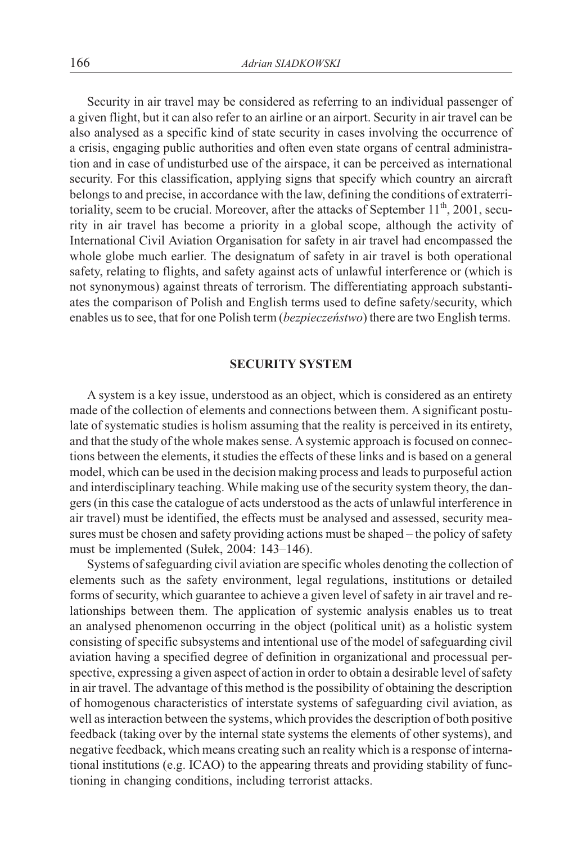Security in air travel may be considered as referring to an individual passenger of a given flight, but it can also refer to an airline or an airport. Security in air travel can be also analysed as a specific kind of state security in cases involving the occurrence of a crisis, engaging public authorities and often even state organs of central administration and in case of undisturbed use of the airspace, it can be perceived as international security. For this classification, applying signs that specify which country an aircraft belongs to and precise, in accordance with the law, defining the conditions of extraterritoriality, seem to be crucial. Moreover, after the attacks of September  $11<sup>th</sup>$ , 2001, security in air travel has become a priority in a global scope, although the activity of International Civil Aviation Organisation for safety in air travel had encompassed the whole globe much earlier. The designatum of safety in air travel is both operational safety, relating to flights, and safety against acts of unlawful interference or (which is not synonymous) against threats of terrorism. The differentiating approach substantiates the comparison of Polish and English terms used to define safety/security, which enables us to see, that for one Polish term (*bezpieczeñstwo*) there are two English terms.

# **SECURITY SYSTEM**

A system is a key issue, understood as an object, which is considered as an entirety made of the collection of elements and connections between them. A significant postulate of systematic studies is holism assuming that the reality is perceived in its entirety, and that the study of the whole makes sense. Asystemic approach is focused on connections between the elements, it studies the effects of these links and is based on a general model, which can be used in the decision making process and leads to purposeful action and interdisciplinary teaching. While making use of the security system theory, the dangers (in this case the catalogue of acts understood as the acts of unlawful interference in air travel) must be identified, the effects must be analysed and assessed, security measures must be chosen and safety providing actions must be shaped – the policy of safety must be implemented (Sułek, 2004: 143-146).

Systems of safeguarding civil aviation are specific wholes denoting the collection of elements such as the safety environment, legal regulations, institutions or detailed forms of security, which guarantee to achieve a given level of safety in air travel and relationships between them. The application of systemic analysis enables us to treat an analysed phenomenon occurring in the object (political unit) as a holistic system consisting of specific subsystems and intentional use of the model of safeguarding civil aviation having a specified degree of definition in organizational and processual perspective, expressing a given aspect of action in order to obtain a desirable level of safety in air travel. The advantage of this method is the possibility of obtaining the description of homogenous characteristics of interstate systems of safeguarding civil aviation, as well as interaction between the systems, which provides the description of both positive feedback (taking over by the internal state systems the elements of other systems), and negative feedback, which means creating such an reality which is a response of international institutions (e.g. ICAO) to the appearing threats and providing stability of functioning in changing conditions, including terrorist attacks.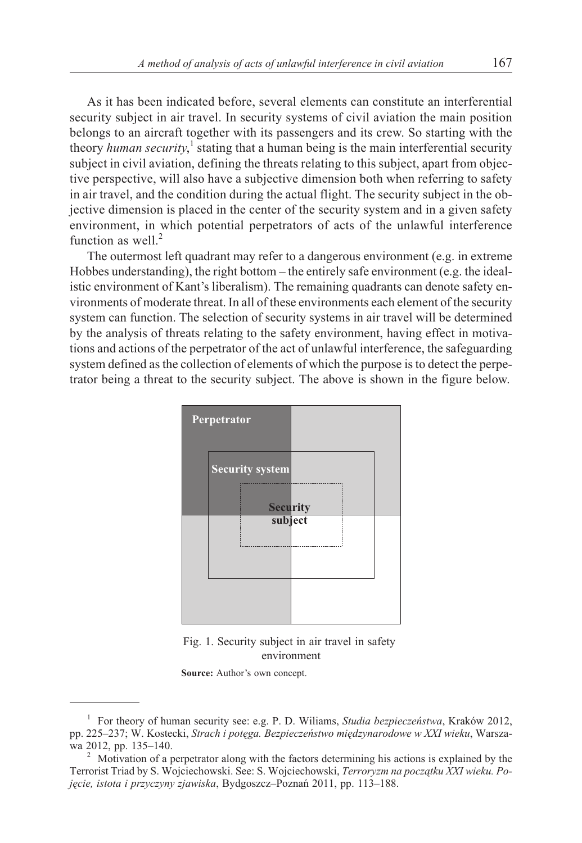As it has been indicated before, several elements can constitute an interferential security subject in air travel. In security systems of civil aviation the main position belongs to an aircraft together with its passengers and its crew. So starting with the theory *human security*,<sup>1</sup> stating that a human being is the main interferential security subject in civil aviation, defining the threats relating to this subject, apart from objective perspective, will also have a subjective dimension both when referring to safety in air travel, and the condition during the actual flight. The security subject in the objective dimension is placed in the center of the security system and in a given safety environment, in which potential perpetrators of acts of the unlawful interference function as well. $2$ 

The outermost left quadrant may refer to a dangerous environment (e.g. in extreme Hobbes understanding), the right bottom – the entirely safe environment (e.g. the idealistic environment of Kant's liberalism). The remaining quadrants can denote safety environments of moderate threat. In all of these environments each element of the security system can function. The selection of security systems in air travel will be determined by the analysis of threats relating to the safety environment, having effect in motivations and actions of the perpetrator of the act of unlawful interference, the safeguarding system defined as the collection of elements of which the purpose is to detect the perpetrator being a threat to the security subject. The above is shown in the figure below.



Fig. 1. Security subject in air travel in safety environment

**Source:** Author's own concept.

<sup>1</sup> For theory of human security see: e.g. P. D. Wiliams, *Studia bezpieczeñstwa*, Kraków 2012, pp. 225–237; W. Kostecki, *Strach i potęga. Bezpieczeństwo międzynarodowe w XXI wieku*, Warsza-wa 2012, pp. 135–140.

<sup>&</sup>lt;sup>2</sup> Motivation of a perpetrator along with the factors determining his actions is explained by the Terrorist Triad by S. Wojciechowski. See: S. Wojciechowski, Terroryzm na początku XXI wieku. Po*jêcie, istota i przyczyny zjawiska*, Bydgoszcz–Poznañ 2011, pp. 113–188.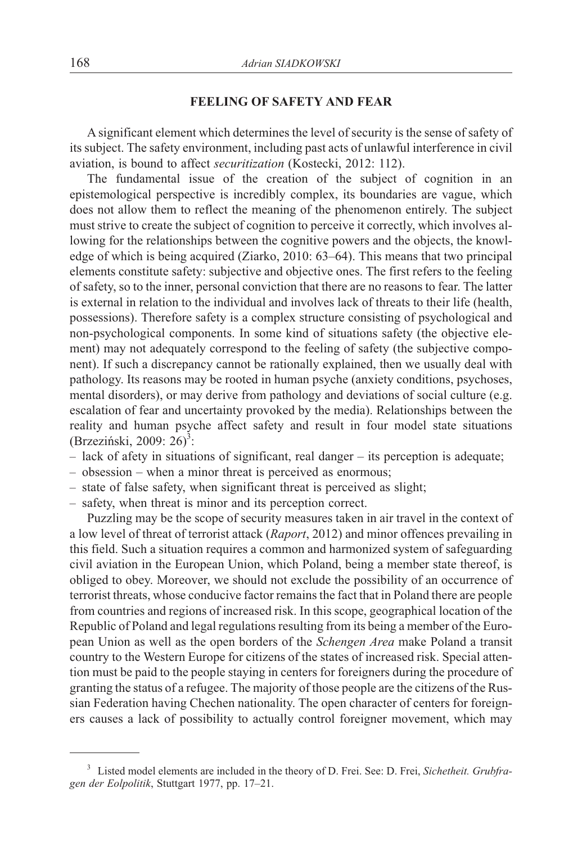### **FEELING OF SAFETY AND FEAR**

A significant element which determines the level of security is the sense of safety of its subject. The safety environment, including past acts of unlawful interference in civil aviation, is bound to affect *securitization* (Kostecki, 2012: 112).

The fundamental issue of the creation of the subject of cognition in an epistemological perspective is incredibly complex, its boundaries are vague, which does not allow them to reflect the meaning of the phenomenon entirely. The subject must strive to create the subject of cognition to perceive it correctly, which involves allowing for the relationships between the cognitive powers and the objects, the knowledge of which is being acquired (Ziarko, 2010: 63–64). This means that two principal elements constitute safety: subjective and objective ones. The first refers to the feeling of safety, so to the inner, personal conviction that there are no reasons to fear. The latter is external in relation to the individual and involves lack of threats to their life (health, possessions). Therefore safety is a complex structure consisting of psychological and non-psychological components. In some kind of situations safety (the objective element) may not adequately correspond to the feeling of safety (the subjective component). If such a discrepancy cannot be rationally explained, then we usually deal with pathology. Its reasons may be rooted in human psyche (anxiety conditions, psychoses, mental disorders), or may derive from pathology and deviations of social culture (e.g. escalation of fear and uncertainty provoked by the media). Relationships between the reality and human psyche affect safety and result in four model state situations (Brzeziński, 2009: 26)<sup>3</sup>:

- lack of afety in situations of significant, real danger its perception is adequate;
- obsession when a minor threat is perceived as enormous;
- state of false safety, when significant threat is perceived as slight;
- safety, when threat is minor and its perception correct.

Puzzling may be the scope of security measures taken in air travel in the context of a low level of threat of terrorist attack (*Raport*, 2012) and minor offences prevailing in this field. Such a situation requires a common and harmonized system of safeguarding civil aviation in the European Union, which Poland, being a member state thereof, is obliged to obey. Moreover, we should not exclude the possibility of an occurrence of terrorist threats, whose conducive factor remains the fact that in Poland there are people from countries and regions of increased risk. In this scope, geographical location of the Republic of Poland and legal regulations resulting from its being a member of the European Union as well as the open borders of the *Schengen Area* make Poland a transit country to the Western Europe for citizens of the states of increased risk. Special attention must be paid to the people staying in centers for foreigners during the procedure of granting the status of a refugee. The majority of those people are the citizens of the Russian Federation having Chechen nationality. The open character of centers for foreigners causes a lack of possibility to actually control foreigner movement, which may

<sup>3</sup> Listed model elements are included in the theory of D. Frei. See: D. Frei, *Sichetheit. Grubfragen der Eolpolitik*, Stuttgart 1977, pp. 17–21.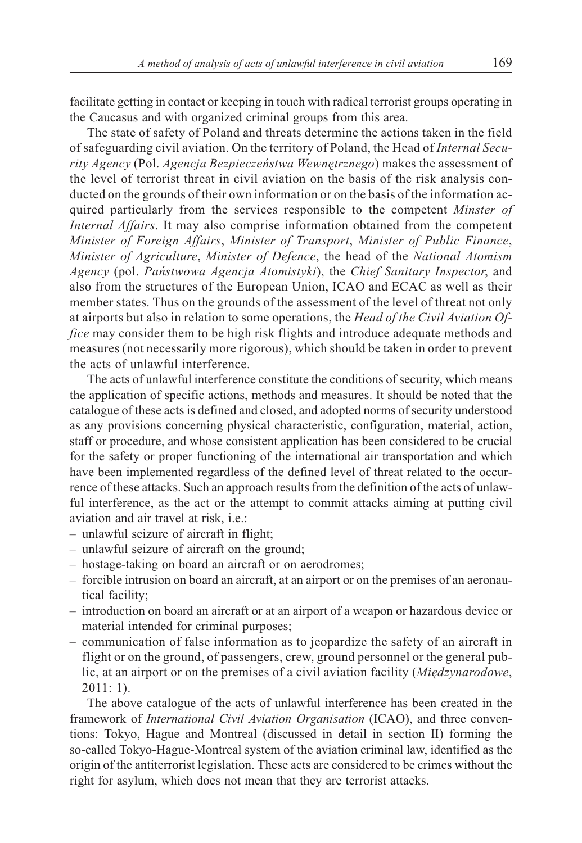facilitate getting in contact or keeping in touch with radical terrorist groups operating in the Caucasus and with organized criminal groups from this area.

The state of safety of Poland and threats determine the actions taken in the field of safeguarding civil aviation. On the territory of Poland, the Head of *Internal Security Agency* (Pol. *Agencja Bezpieczeñstwa Wewnêtrznego*) makes the assessment of the level of terrorist threat in civil aviation on the basis of the risk analysis conducted on the grounds of their own information or on the basis of the information acquired particularly from the services responsible to the competent *Minster of Internal Affairs*. It may also comprise information obtained from the competent *Minister of Foreign Affairs*, *Minister of Transport*, *Minister of Public Finance*, *Minister of Agriculture*, *Minister of Defence*, the head of the *National Atomism Agency* (pol. *Pañstwowa Agencja Atomistyki*), the *Chief Sanitary Inspector*, and also from the structures of the European Union, ICAO and ECAC as well as their member states. Thus on the grounds of the assessment of the level of threat not only at airports but also in relation to some operations, the *Head of the Civil Aviation Office* may consider them to be high risk flights and introduce adequate methods and measures (not necessarily more rigorous), which should be taken in order to prevent the acts of unlawful interference.

The acts of unlawful interference constitute the conditions of security, which means the application of specific actions, methods and measures. It should be noted that the catalogue of these acts is defined and closed, and adopted norms of security understood as any provisions concerning physical characteristic, configuration, material, action, staff or procedure, and whose consistent application has been considered to be crucial for the safety or proper functioning of the international air transportation and which have been implemented regardless of the defined level of threat related to the occurrence of these attacks. Such an approach results from the definition of the acts of unlawful interference, as the act or the attempt to commit attacks aiming at putting civil aviation and air travel at risk, i.e.:

- unlawful seizure of aircraft in flight;
- unlawful seizure of aircraft on the ground;
- hostage-taking on board an aircraft or on aerodromes;
- forcible intrusion on board an aircraft, at an airport or on the premises of an aeronautical facility;
- introduction on board an aircraft or at an airport of a weapon or hazardous device or material intended for criminal purposes;
- communication of false information as to jeopardize the safety of an aircraft in flight or on the ground, of passengers, crew, ground personnel or the general public, at an airport or on the premises of a civil aviation facility (*Miedzynarodowe*, 2011: 1).

The above catalogue of the acts of unlawful interference has been created in the framework of *International Civil Aviation Organisation* (ICAO), and three conventions: Tokyo, Hague and Montreal (discussed in detail in section II) forming the so-called Tokyo-Hague-Montreal system of the aviation criminal law, identified as the origin of the antiterrorist legislation. These acts are considered to be crimes without the right for asylum, which does not mean that they are terrorist attacks.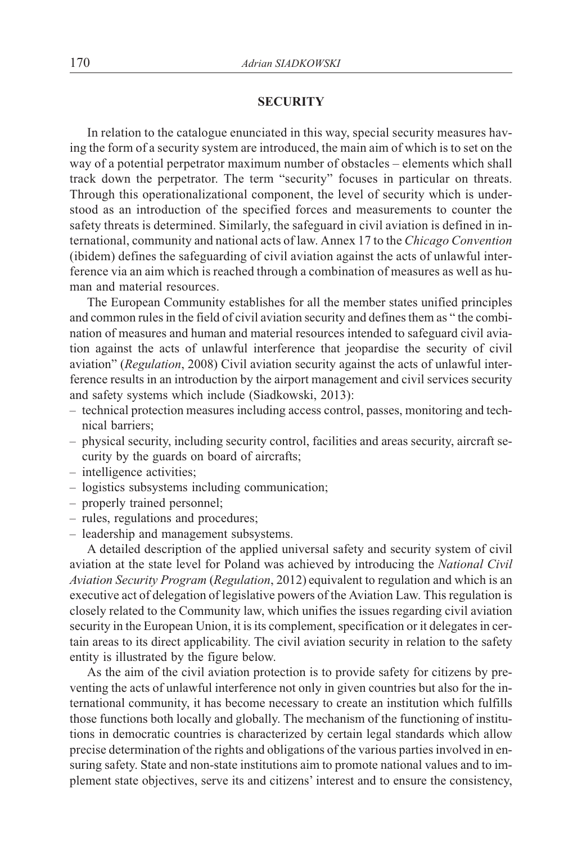## **SECURITY**

In relation to the catalogue enunciated in this way, special security measures having the form of a security system are introduced, the main aim of which is to set on the way of a potential perpetrator maximum number of obstacles – elements which shall track down the perpetrator. The term "security" focuses in particular on threats. Through this operationalizational component, the level of security which is understood as an introduction of the specified forces and measurements to counter the safety threats is determined. Similarly, the safeguard in civil aviation is defined in international, community and national acts of law. Annex 17 to the *Chicago Convention* (ibidem) defines the safeguarding of civil aviation against the acts of unlawful interference via an aim which is reached through a combination of measures as well as human and material resources.

The European Community establishes for all the member states unified principles and common rules in the field of civil aviation security and defines them as " the combination of measures and human and material resources intended to safeguard civil aviation against the acts of unlawful interference that jeopardise the security of civil aviation" (*Regulation*, 2008) Civil aviation security against the acts of unlawful interference results in an introduction by the airport management and civil services security and safety systems which include (Siadkowski, 2013):

- technical protection measures including access control, passes, monitoring and technical barriers;
- physical security, including security control, facilities and areas security, aircraft security by the guards on board of aircrafts;
- intelligence activities;
- logistics subsystems including communication;
- properly trained personnel;
- rules, regulations and procedures;
- leadership and management subsystems.

A detailed description of the applied universal safety and security system of civil aviation at the state level for Poland was achieved by introducing the *National Civil Aviation Security Program* (*Regulation*, 2012) equivalent to regulation and which is an executive act of delegation of legislative powers of the Aviation Law. This regulation is closely related to the Community law, which unifies the issues regarding civil aviation security in the European Union, it is its complement, specification or it delegates in certain areas to its direct applicability. The civil aviation security in relation to the safety entity is illustrated by the figure below.

As the aim of the civil aviation protection is to provide safety for citizens by preventing the acts of unlawful interference not only in given countries but also for the international community, it has become necessary to create an institution which fulfills those functions both locally and globally. The mechanism of the functioning of institutions in democratic countries is characterized by certain legal standards which allow precise determination of the rights and obligations of the various parties involved in ensuring safety. State and non-state institutions aim to promote national values and to implement state objectives, serve its and citizens' interest and to ensure the consistency,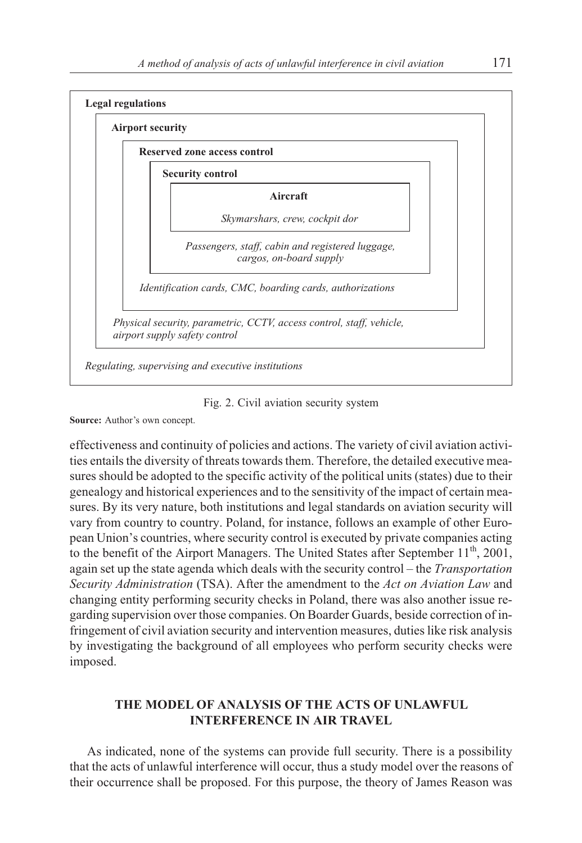

Fig. 2. Civil aviation security system

**Source:** Author's own concept.

effectiveness and continuity of policies and actions. The variety of civil aviation activities entails the diversity of threats towards them. Therefore, the detailed executive measures should be adopted to the specific activity of the political units (states) due to their genealogy and historical experiences and to the sensitivity of the impact of certain measures. By its very nature, both institutions and legal standards on aviation security will vary from country to country. Poland, for instance, follows an example of other European Union's countries, where security control is executed by private companies acting to the benefit of the Airport Managers. The United States after September  $11<sup>th</sup>$ , 2001, again set up the state agenda which deals with the security control – the *Transportation Security Administration* (TSA). After the amendment to the *Act on Aviation Law* and changing entity performing security checks in Poland, there was also another issue regarding supervision over those companies. On Boarder Guards, beside correction of infringement of civil aviation security and intervention measures, duties like risk analysis by investigating the background of all employees who perform security checks were imposed.

# **THE MODEL OF ANALYSIS OF THE ACTS OF UNLAWFUL INTERFERENCE IN AIR TRAVEL**

As indicated, none of the systems can provide full security. There is a possibility that the acts of unlawful interference will occur, thus a study model over the reasons of their occurrence shall be proposed. For this purpose, the theory of James Reason was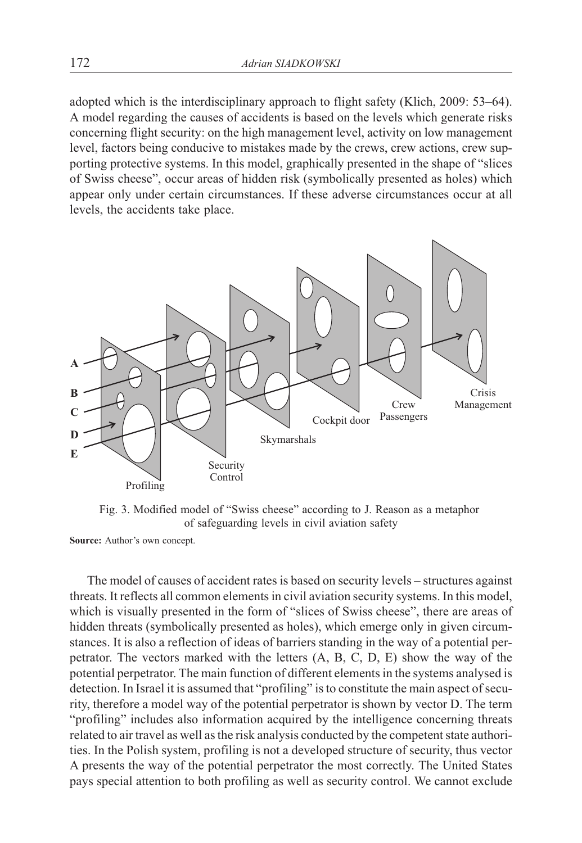adopted which is the interdisciplinary approach to flight safety (Klich, 2009: 53–64). A model regarding the causes of accidents is based on the levels which generate risks concerning flight security: on the high management level, activity on low management level, factors being conducive to mistakes made by the crews, crew actions, crew supporting protective systems. In this model, graphically presented in the shape of "slices of Swiss cheese", occur areas of hidden risk (symbolically presented as holes) which appear only under certain circumstances. If these adverse circumstances occur at all levels, the accidents take place.



Fig. 3. Modified model of "Swiss cheese" according to J. Reason as a metaphor of safeguarding levels in civil aviation safety

**Source:** Author's own concept.

The model of causes of accident rates is based on security levels – structures against threats. It reflects all common elements in civil aviation security systems. In this model, which is visually presented in the form of "slices of Swiss cheese", there are areas of hidden threats (symbolically presented as holes), which emerge only in given circumstances. It is also a reflection of ideas of barriers standing in the way of a potential perpetrator. The vectors marked with the letters (A, B, C, D, E) show the way of the potential perpetrator. The main function of different elements in the systems analysed is detection. In Israel it is assumed that "profiling" is to constitute the main aspect of security, therefore a model way of the potential perpetrator is shown by vector D. The term "profiling" includes also information acquired by the intelligence concerning threats related to air travel as well as the risk analysis conducted by the competent state authorities. In the Polish system, profiling is not a developed structure of security, thus vector A presents the way of the potential perpetrator the most correctly. The United States pays special attention to both profiling as well as security control. We cannot exclude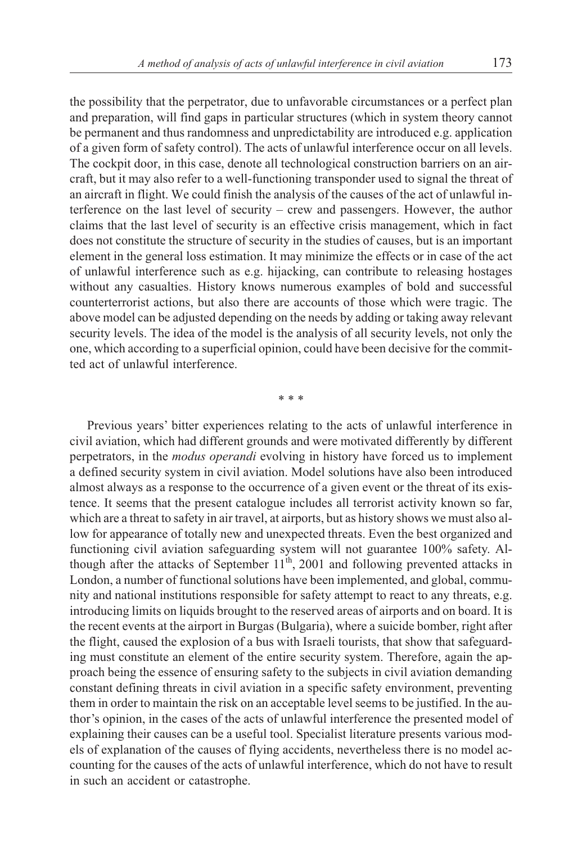the possibility that the perpetrator, due to unfavorable circumstances or a perfect plan and preparation, will find gaps in particular structures (which in system theory cannot be permanent and thus randomness and unpredictability are introduced e.g. application of a given form of safety control). The acts of unlawful interference occur on all levels. The cockpit door, in this case, denote all technological construction barriers on an aircraft, but it may also refer to a well-functioning transponder used to signal the threat of an aircraft in flight. We could finish the analysis of the causes of the act of unlawful interference on the last level of security – crew and passengers. However, the author claims that the last level of security is an effective crisis management, which in fact does not constitute the structure of security in the studies of causes, but is an important element in the general loss estimation. It may minimize the effects or in case of the act of unlawful interference such as e.g. hijacking, can contribute to releasing hostages without any casualties. History knows numerous examples of bold and successful counterterrorist actions, but also there are accounts of those which were tragic. The above model can be adjusted depending on the needs by adding or taking away relevant security levels. The idea of the model is the analysis of all security levels, not only the one, which according to a superficial opinion, could have been decisive for the committed act of unlawful interference.

\*\*\*

Previous years' bitter experiences relating to the acts of unlawful interference in civil aviation, which had different grounds and were motivated differently by different perpetrators, in the *modus operandi* evolving in history have forced us to implement a defined security system in civil aviation. Model solutions have also been introduced almost always as a response to the occurrence of a given event or the threat of its existence. It seems that the present catalogue includes all terrorist activity known so far, which are a threat to safety in air travel, at airports, but as history shows we must also allow for appearance of totally new and unexpected threats. Even the best organized and functioning civil aviation safeguarding system will not guarantee 100% safety. Although after the attacks of September  $11<sup>th</sup>$ , 2001 and following prevented attacks in London, a number of functional solutions have been implemented, and global, community and national institutions responsible for safety attempt to react to any threats, e.g. introducing limits on liquids brought to the reserved areas of airports and on board. It is the recent events at the airport in Burgas (Bulgaria), where a suicide bomber, right after the flight, caused the explosion of a bus with Israeli tourists, that show that safeguarding must constitute an element of the entire security system. Therefore, again the approach being the essence of ensuring safety to the subjects in civil aviation demanding constant defining threats in civil aviation in a specific safety environment, preventing them in order to maintain the risk on an acceptable level seems to be justified. In the author's opinion, in the cases of the acts of unlawful interference the presented model of explaining their causes can be a useful tool. Specialist literature presents various models of explanation of the causes of flying accidents, nevertheless there is no model accounting for the causes of the acts of unlawful interference, which do not have to result in such an accident or catastrophe.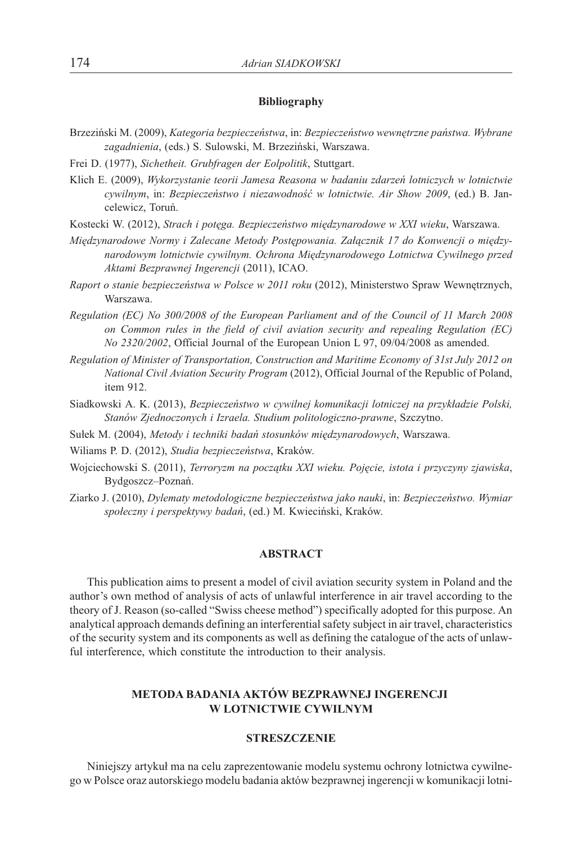#### **Bibliography**

- Brzeziñski M. (2009), *Kategoria bezpieczeñstwa*, in: *Bezpieczeñstwo wewnêtrzne pañstwa. Wybrane zagadnienia*, (eds.) S. Sulowski, M. Brzeziñski, Warszawa.
- Frei D. (1977), *Sichetheit. Grubfragen der Eolpolitik*, Stuttgart.
- Klich E. (2009), *Wykorzystanie teorii Jamesa Reasona w badaniu zdarzeñ lotniczych w lotnictwie* cywilnym, in: *Bezpieczeństwo i niezawodność w lotnictwie. Air Show 2009*, (ed.) B. Jancelewicz, Toruñ.
- Kostecki W. (2012), *Strach i potêga. Bezpieczeñstwo miêdzynarodowe w XXI wieku*, Warszawa.
- Międzynarodowe Normy i Zalecane Metody Postępowania. Załącznik 17 do Konwencji o między*narodowym lotnictwie cywilnym. Ochrona Miêdzynarodowego Lotnictwa Cywilnego przed Aktami Bezprawnej Ingerencji* (2011), ICAO.
- *Raport o stanie bezpieczeñstwa w Polsce w 2011 roku* (2012), Ministerstwo Spraw Wewnêtrznych, Warszawa.
- *Regulation (EC) No 300/2008 of the European Parliament and of the Council of 11 March 2008 on Common rules in the field of civil aviation security and repealing Regulation (EC) No 2320/2002*, Official Journal of the European Union L 97, 09/04/2008 as amended.
- *Regulation of Minister of Transportation, Construction and Maritime Economy of 31st July 2012 on National Civil Aviation Security Program* (2012), Official Journal of the Republic of Poland, item 912.
- Siadkowski A. K. (2013), *Bezpieczeństwo w cywilnej komunikacji lotniczej na przykładzie Polski*, *Stanów Zjednoczonych i Izraela. Studium politologiczno-prawne*, Szczytno.
- Sułek M. (2004), Metody i techniki badań stosunków międzynarodowych, Warszawa.
- Wiliams P. D. (2012), *Studia bezpieczeñstwa*, Kraków.
- Wojciechowski S. (2011), *Terroryzm na początku XXI wieku. Pojęcie, istota i przyczyny zjawiska*, Bydgoszcz–Poznañ.
- Ziarko J. (2010), *Dylematy metodologiczne bezpieczeñstwa jako nauki*, in: *Bezpieczeñstwo. Wymiar spo³eczny i perspektywy badañ*, (ed.) M. Kwieciñski, Kraków.

### **ABSTRACT**

This publication aims to present a model of civil aviation security system in Poland and the author's own method of analysis of acts of unlawful interference in air travel according to the theory of J. Reason (so-called "Swiss cheese method") specifically adopted for this purpose. An analytical approach demands defining an interferential safety subject in air travel, characteristics of the security system and its components as well as defining the catalogue of the acts of unlawful interference, which constitute the introduction to their analysis.

# **METODA BADANIA AKTÓW BEZPRAWNEJ INGERENCJI W LOTNICTWIE CYWILNYM**

### **STRESZCZENIE**

Niniejszy artykuł ma na celu zaprezentowanie modelu systemu ochrony lotnictwa cywilnego w Polsce oraz autorskiego modelu badania aktów bezprawnej ingerencji w komunikacji lotni